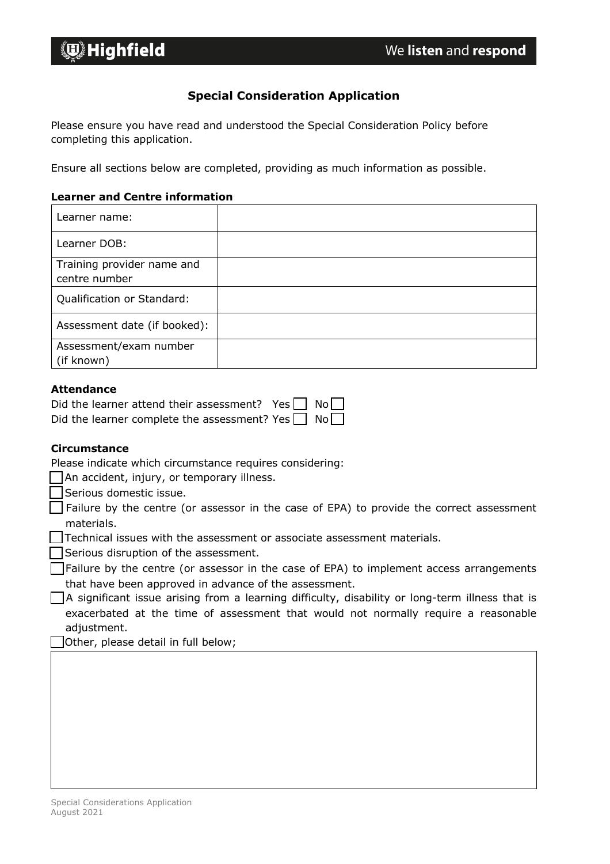# *<u>Die</u>* Highfield

### **Special Consideration Application**

Please ensure you have read and understood the Special Consideration Policy before completing this application.

Ensure all sections below are completed, providing as much information as possible.

#### **Learner and Centre information**

| Learner name:                               |  |
|---------------------------------------------|--|
| Learner DOB:                                |  |
| Training provider name and<br>centre number |  |
| Qualification or Standard:                  |  |
| Assessment date (if booked):                |  |
| Assessment/exam number                      |  |
| (if known)                                  |  |

#### **Attendance**

|  | Did the learner attend their assessment? Yes $\Box$ No $\Box$ |  |  |
|--|---------------------------------------------------------------|--|--|
|  | Did the learner complete the assessment? Yes $\Box$ No $\Box$ |  |  |

#### **Circumstance**

 $\Box$  An accident, injury, or temporary illness.

☐ Serious domestic issue.

☐ Failure by the centre (or assessor in the case of EPA) to provide the correct assessment materials.

☐ Technical issues with the assessment or associate assessment materials.

□ Serious disruption of the assessment.

 $\Box$  Failure by the centre (or assessor in the case of EPA) to implement access arrangements that have been approved in advance of the assessment.

 $\Box$  A significant issue arising from a learning difficulty, disability or long-term illness that is exacerbated at the time of assessment that would not normally require a reasonable adjustment.

Other, please detail in full below;